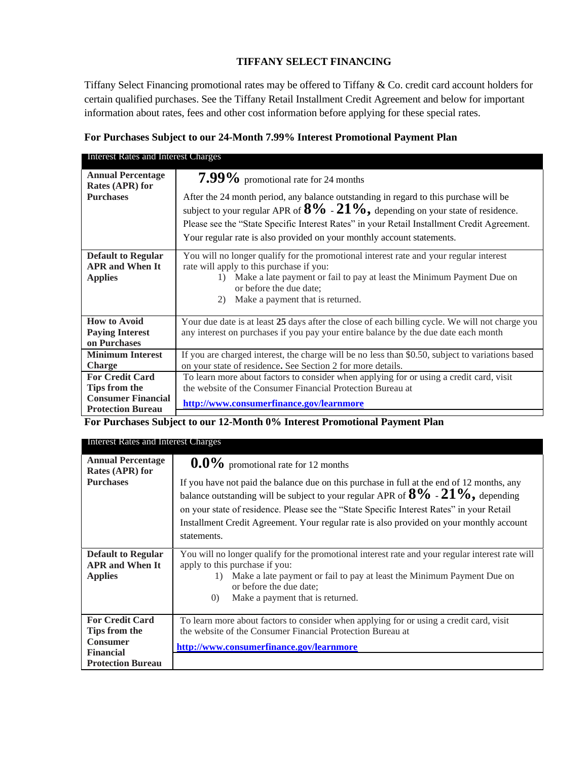# **TIFFANY SELECT FINANCING**

Tiffany Select Financing promotional rates may be offered to Tiffany & Co. credit card account holders for certain qualified purchases. See the Tiffany Retail Installment Credit Agreement and below for important information about rates, fees and other cost information before applying for these special rates.

# **For Purchases Subject to our 24-Month 7.99% Interest Promotional Payment Plan**

| Interest Rates and Interest Charges                                                              |                                                                                                                                                                                                                                                                                                                                                                                                    |
|--------------------------------------------------------------------------------------------------|----------------------------------------------------------------------------------------------------------------------------------------------------------------------------------------------------------------------------------------------------------------------------------------------------------------------------------------------------------------------------------------------------|
| <b>Annual Percentage</b><br>Rates (APR) for<br><b>Purchases</b>                                  | $7.99\%$ promotional rate for 24 months<br>After the 24 month period, any balance outstanding in regard to this purchase will be<br>subject to your regular APR of $8\%$ - $21\%$ , depending on your state of residence.<br>Please see the "State Specific Interest Rates" in your Retail Installment Credit Agreement.<br>Your regular rate is also provided on your monthly account statements. |
| <b>Default to Regular</b><br><b>APR and When It</b><br><b>Applies</b>                            | You will no longer qualify for the promotional interest rate and your regular interest<br>rate will apply to this purchase if you:<br>Make a late payment or fail to pay at least the Minimum Payment Due on<br>$\left( \frac{1}{2} \right)$<br>or before the due date:<br>Make a payment that is returned.<br>2)                                                                                  |
| <b>How to Avoid</b><br><b>Paying Interest</b><br>on Purchases                                    | Your due date is at least 25 days after the close of each billing cycle. We will not charge you<br>any interest on purchases if you pay your entire balance by the due date each month                                                                                                                                                                                                             |
| <b>Minimum Interest</b><br><b>Charge</b>                                                         | If you are charged interest, the charge will be no less than \$0.50, subject to variations based<br>on your state of residence. See Section 2 for more details.                                                                                                                                                                                                                                    |
| <b>For Credit Card</b><br>Tips from the<br><b>Consumer Financial</b><br><b>Protection Bureau</b> | To learn more about factors to consider when applying for or using a credit card, visit<br>the website of the Consumer Financial Protection Bureau at<br>http://www.consumerfinance.gov/learnmore                                                                                                                                                                                                  |

**For Purchases Subject to our 12-Month 0% Interest Promotional Payment Plan**

| Interest Rates and Interest Charges                                            |                                                                                                                                                                                                                                                                                                                                                                                             |  |  |
|--------------------------------------------------------------------------------|---------------------------------------------------------------------------------------------------------------------------------------------------------------------------------------------------------------------------------------------------------------------------------------------------------------------------------------------------------------------------------------------|--|--|
| <b>Annual Percentage</b><br>Rates (APR) for                                    | $0.0\%$ promotional rate for 12 months                                                                                                                                                                                                                                                                                                                                                      |  |  |
| <b>Purchases</b>                                                               | If you have not paid the balance due on this purchase in full at the end of 12 months, any<br>balance outstanding will be subject to your regular APR of $8\%$ - $21\%$ , depending<br>on your state of residence. Please see the "State Specific Interest Rates" in your Retail<br>Installment Credit Agreement. Your regular rate is also provided on your monthly account<br>statements. |  |  |
| <b>Default to Regular</b><br><b>APR and When It</b><br><b>Applies</b>          | You will no longer qualify for the promotional interest rate and your regular interest rate will<br>apply to this purchase if you:<br>Make a late payment or fail to pay at least the Minimum Payment Due on<br>$\left( \right)$<br>or before the due date:<br>Make a payment that is returned.<br>(0)                                                                                      |  |  |
| <b>For Credit Card</b><br>Tips from the<br><b>Consumer</b><br><b>Financial</b> | To learn more about factors to consider when applying for or using a credit card, visit<br>the website of the Consumer Financial Protection Bureau at<br>http://www.consumerfinance.gov/learnmore                                                                                                                                                                                           |  |  |
| <b>Protection Bureau</b>                                                       |                                                                                                                                                                                                                                                                                                                                                                                             |  |  |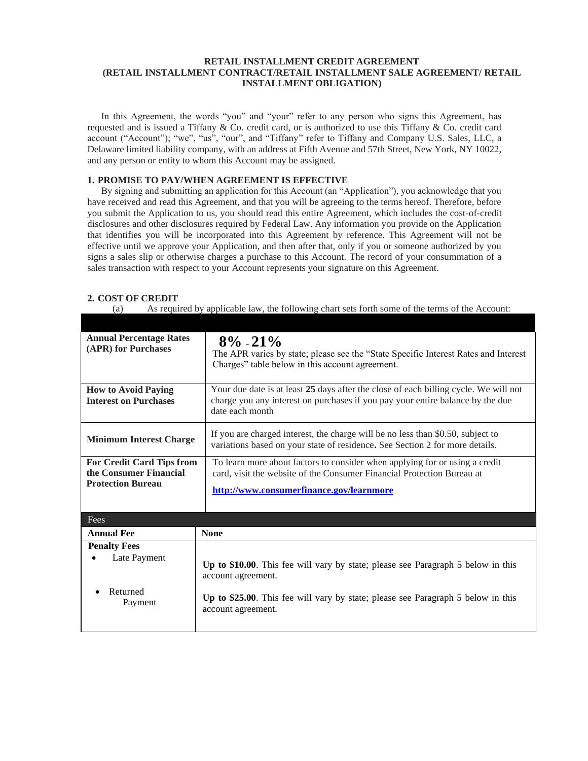#### **RETAIL INSTALLMENT CREDIT AGREEMENT (RETAIL INSTALLMENT CONTRACT/RETAIL INSTALLMENT SALE AGREEMENT/ RETAIL INSTALLMENT OBLIGATION)**

In this Agreement, the words "you" and "your" refer to any person who signs this Agreement, has requested and is issued a Tiffany & Co. credit card, or is authorized to use this Tiffany & Co. credit card account ("Account"); "we", "us", "our", and "Tiffany" refer to Tiffany and Company U.S. Sales, LLC, a Delaware limited liability company, with an address at Fifth Avenue and 57th Street, New York, NY 10022, and any person or entity to whom this Account may be assigned.

## **1. PROMISE TO PAY/WHEN AGREEMENT IS EFFECTIVE**

By signing and submitting an application for this Account (an "Application"), you acknowledge that you have received and read this Agreement, and that you will be agreeing to the terms hereof. Therefore, before you submit the Application to us, you should read this entire Agreement, which includes the cost-of-credit disclosures and other disclosures required by Federal Law. Any information you provide on the Application that identifies you will be incorporated into this Agreement by reference. This Agreement will not be effective until we approve your Application, and then after that, only if you or someone authorized by you signs a sales slip or otherwise charges a purchase to this Account. The record of your consummation of a sales transaction with respect to your Account represents your signature on this Agreement.

## **2. COST OF CREDIT**

(a) As required by applicable law, the following chart sets forth some of the terms of the Account:

| <b>Annual Percentage Rates</b><br>(APR) for Purchases                           | $8\% - 21\%$<br>The APR varies by state; please see the "State Specific Interest Rates and Interest"<br>Charges" table below in this account agreement.                                                          |
|---------------------------------------------------------------------------------|------------------------------------------------------------------------------------------------------------------------------------------------------------------------------------------------------------------|
| <b>How to Avoid Paying</b><br><b>Interest on Purchases</b>                      | Your due date is at least 25 days after the close of each billing cycle. We will not<br>charge you any interest on purchases if you pay your entire balance by the due<br>date each month                        |
| <b>Minimum Interest Charge</b>                                                  | If you are charged interest, the charge will be no less than \$0.50, subject to<br>variations based on your state of residence. See Section 2 for more details.                                                  |
| For Credit Card Tips from<br>the Consumer Financial<br><b>Protection Bureau</b> | To learn more about factors to consider when applying for or using a credit<br>card, visit the website of the Consumer Financial Protection Bureau at<br>http://www.consumerfinance.gov/learnmore                |
| Fees                                                                            |                                                                                                                                                                                                                  |
| <b>Annual Fee</b>                                                               | <b>None</b>                                                                                                                                                                                                      |
| <b>Penalty Fees</b><br>Late Payment<br>Returned<br>Payment                      | Up to \$10.00. This fee will vary by state; please see Paragraph 5 below in this<br>account agreement.<br>Up to \$25.00. This fee will vary by state; please see Paragraph 5 below in this<br>account agreement. |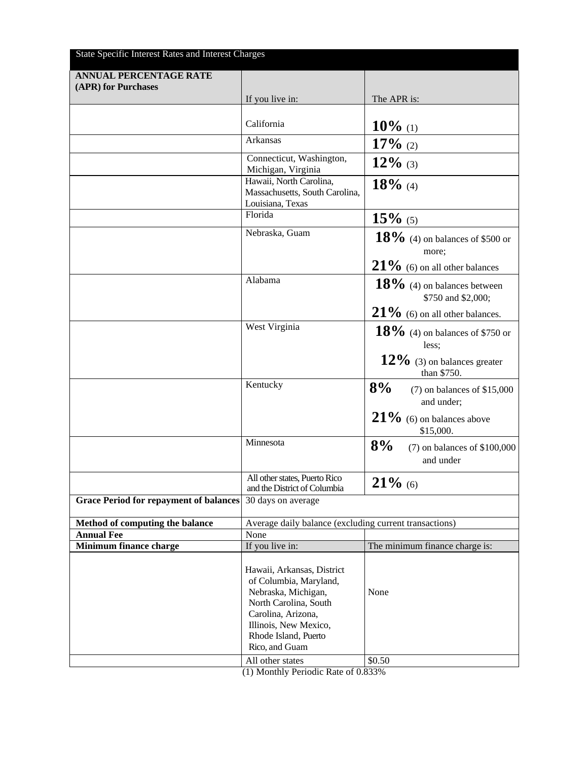| State Specific Interest Rates and Interest Charges |                                                                                                                                                                                               |                                                      |
|----------------------------------------------------|-----------------------------------------------------------------------------------------------------------------------------------------------------------------------------------------------|------------------------------------------------------|
| <b>ANNUAL PERCENTAGE RATE</b>                      |                                                                                                                                                                                               |                                                      |
| (APR) for Purchases                                |                                                                                                                                                                                               |                                                      |
|                                                    | If you live in:                                                                                                                                                                               | The APR is:                                          |
|                                                    |                                                                                                                                                                                               |                                                      |
|                                                    | California                                                                                                                                                                                    | $10\%$ (1)                                           |
|                                                    | Arkansas                                                                                                                                                                                      | $17\%$ (2)                                           |
|                                                    | Connecticut, Washington,<br>Michigan, Virginia                                                                                                                                                | $12\%$ (3)                                           |
|                                                    | Hawaii, North Carolina,<br>Massachusetts, South Carolina,<br>Louisiana, Texas                                                                                                                 | $18\%$ (4)                                           |
|                                                    | Florida                                                                                                                                                                                       | $15\%$ (5)                                           |
|                                                    | Nebraska, Guam                                                                                                                                                                                | $18\%$ (4) on balances of \$500 or<br>more;          |
|                                                    |                                                                                                                                                                                               | $21\%$ (6) on all other balances                     |
|                                                    | Alabama                                                                                                                                                                                       | $18\%$ (4) on balances between<br>\$750 and \$2,000; |
|                                                    |                                                                                                                                                                                               | $21\%$ (6) on all other balances.                    |
|                                                    | West Virginia                                                                                                                                                                                 | $18\%$ (4) on balances of \$750 or<br>less;          |
|                                                    |                                                                                                                                                                                               | $12\%$ (3) on balances greater<br>than \$750.        |
|                                                    | Kentucky                                                                                                                                                                                      | 8%<br>$(7)$ on balances of \$15,000<br>and under;    |
|                                                    |                                                                                                                                                                                               | $21\%$ (6) on balances above<br>\$15,000.            |
|                                                    | Minnesota                                                                                                                                                                                     | 8%<br>$(7)$ on balances of \$100,000<br>and under    |
|                                                    | All other states, Puerto Rico<br>and the District of Columbia                                                                                                                                 | $21\%$ (6)                                           |
| <b>Grace Period for repayment of balances</b>      | 30 days on average                                                                                                                                                                            |                                                      |
| Method of computing the balance                    | Average daily balance (excluding current transactions)                                                                                                                                        |                                                      |
| <b>Annual Fee</b>                                  | None                                                                                                                                                                                          |                                                      |
| Minimum finance charge                             | If you live in:                                                                                                                                                                               | The minimum finance charge is:                       |
|                                                    | Hawaii, Arkansas, District<br>of Columbia, Maryland,<br>Nebraska, Michigan,<br>North Carolina, South<br>Carolina, Arizona,<br>Illinois, New Mexico,<br>Rhode Island, Puerto<br>Rico, and Guam | None                                                 |
|                                                    |                                                                                                                                                                                               |                                                      |
|                                                    | All other states                                                                                                                                                                              | \$0.50<br>0.0220                                     |

(1) Monthly Periodic Rate of 0.833%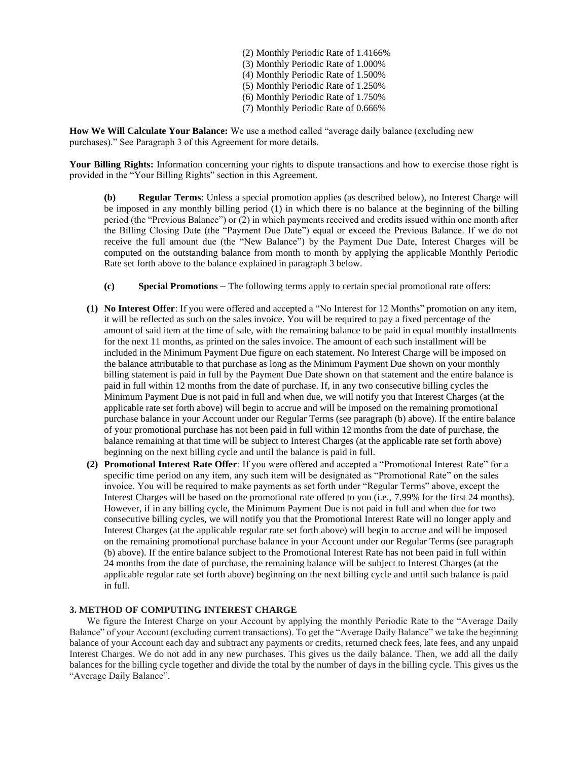(2) Monthly Periodic Rate of 1.4166% (3) Monthly Periodic Rate of 1.000% (4) Monthly Periodic Rate of 1.500% (5) Monthly Periodic Rate of 1.250% (6) Monthly Periodic Rate of 1.750% (7) Monthly Periodic Rate of 0.666%

**How We Will Calculate Your Balance:** We use a method called "average daily balance (excluding new purchases)." See Paragraph 3 of this Agreement for more details.

**Your Billing Rights:** Information concerning your rights to dispute transactions and how to exercise those right is provided in the "Your Billing Rights" section in this Agreement.

**(b) Regular Terms**: Unless a special promotion applies (as described below), no Interest Charge will be imposed in any monthly billing period (1) in which there is no balance at the beginning of the billing period (the "Previous Balance") or (2) in which payments received and credits issued within one month after the Billing Closing Date (the "Payment Due Date") equal or exceed the Previous Balance. If we do not receive the full amount due (the "New Balance") by the Payment Due Date, Interest Charges will be computed on the outstanding balance from month to month by applying the applicable Monthly Periodic Rate set forth above to the balance explained in paragraph 3 below.

- **(c) Special Promotions –** The following terms apply to certain special promotional rate offers:
- **(1) No Interest Offer**: If you were offered and accepted a "No Interest for 12 Months" promotion on any item, it will be reflected as such on the sales invoice. You will be required to pay a fixed percentage of the amount of said item at the time of sale, with the remaining balance to be paid in equal monthly installments for the next 11 months, as printed on the sales invoice. The amount of each such installment will be included in the Minimum Payment Due figure on each statement. No Interest Charge will be imposed on the balance attributable to that purchase as long as the Minimum Payment Due shown on your monthly billing statement is paid in full by the Payment Due Date shown on that statement and the entire balance is paid in full within 12 months from the date of purchase. If, in any two consecutive billing cycles the Minimum Payment Due is not paid in full and when due, we will notify you that Interest Charges (at the applicable rate set forth above) will begin to accrue and will be imposed on the remaining promotional purchase balance in your Account under our Regular Terms (see paragraph (b) above). If the entire balance of your promotional purchase has not been paid in full within 12 months from the date of purchase, the balance remaining at that time will be subject to Interest Charges (at the applicable rate set forth above) beginning on the next billing cycle and until the balance is paid in full.
- **(2) Promotional Interest Rate Offer**: If you were offered and accepted a "Promotional Interest Rate" for a specific time period on any item, any such item will be designated as "Promotional Rate" on the sales invoice. You will be required to make payments as set forth under "Regular Terms" above, except the Interest Charges will be based on the promotional rate offered to you (i.e., 7.99% for the first 24 months). However, if in any billing cycle, the Minimum Payment Due is not paid in full and when due for two consecutive billing cycles, we will notify you that the Promotional Interest Rate will no longer apply and Interest Charges (at the applicable regular rate set forth above) will begin to accrue and will be imposed on the remaining promotional purchase balance in your Account under our Regular Terms (see paragraph (b) above). If the entire balance subject to the Promotional Interest Rate has not been paid in full within 24 months from the date of purchase, the remaining balance will be subject to Interest Charges (at the applicable regular rate set forth above) beginning on the next billing cycle and until such balance is paid in full.

# **3. METHOD OF COMPUTING INTEREST CHARGE**

We figure the Interest Charge on your Account by applying the monthly Periodic Rate to the "Average Daily Balance" of your Account (excluding current transactions). To get the "Average Daily Balance" we take the beginning balance of your Account each day and subtract any payments or credits, returned check fees, late fees, and any unpaid Interest Charges. We do not add in any new purchases. This gives us the daily balance. Then, we add all the daily balances for the billing cycle together and divide the total by the number of days in the billing cycle. This gives us the "Average Daily Balance".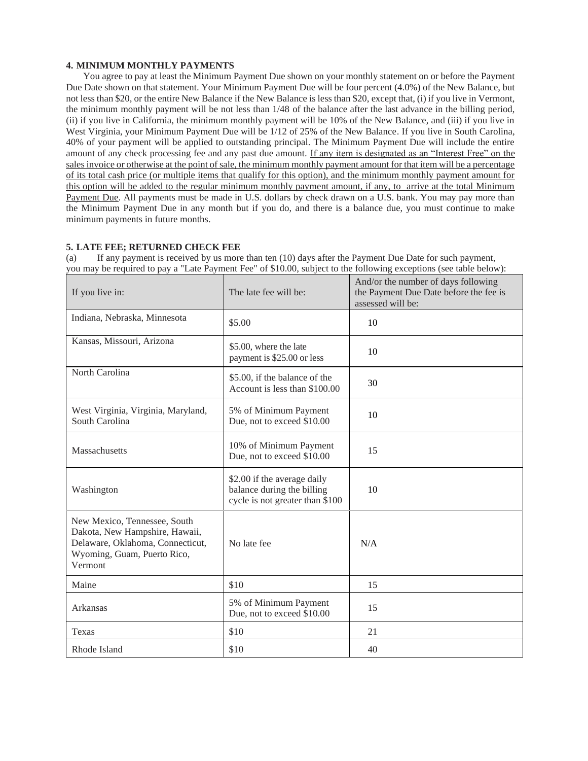## **4. MINIMUM MONTHLY PAYMENTS**

You agree to pay at least the Minimum Payment Due shown on your monthly statement on or before the Payment Due Date shown on that statement. Your Minimum Payment Due will be four percent (4.0%) of the New Balance, but not less than \$20, or the entire New Balance if the New Balance is less than \$20, except that, (i) if you live in Vermont, the minimum monthly payment will be not less than 1/48 of the balance after the last advance in the billing period, (ii) if you live in California, the minimum monthly payment will be 10% of the New Balance, and (iii) if you live in West Virginia, your Minimum Payment Due will be 1/12 of 25% of the New Balance. If you live in South Carolina, 40% of your payment will be applied to outstanding principal. The Minimum Payment Due will include the entire amount of any check processing fee and any past due amount. If any item is designated as an "Interest Free" on the sales invoice or otherwise at the point of sale, the minimum monthly payment amount for that item will be a percentage of its total cash price (or multiple items that qualify for this option), and the minimum monthly payment amount for this option will be added to the regular minimum monthly payment amount, if any, to arrive at the total Minimum Payment Due. All payments must be made in U.S. dollars by check drawn on a U.S. bank. You may pay more than the Minimum Payment Due in any month but if you do, and there is a balance due, you must continue to make minimum payments in future months.

## **5. LATE FEE; RETURNED CHECK FEE**

(a) If any payment is received by us more than ten (10) days after the Payment Due Date for such payment, you may be required to pay a "Late Payment Fee" of \$10.00, subject to the following exceptions (see table below):

| If you live in:                                                                                                                              | The late fee will be:                                                                        | And/or the number of days following<br>the Payment Due Date before the fee is<br>assessed will be: |
|----------------------------------------------------------------------------------------------------------------------------------------------|----------------------------------------------------------------------------------------------|----------------------------------------------------------------------------------------------------|
| Indiana, Nebraska, Minnesota                                                                                                                 | \$5.00                                                                                       | 10                                                                                                 |
| Kansas, Missouri, Arizona                                                                                                                    | \$5.00, where the late<br>payment is \$25.00 or less                                         | 10                                                                                                 |
| North Carolina                                                                                                                               | \$5.00, if the balance of the<br>Account is less than \$100.00                               | 30                                                                                                 |
| West Virginia, Virginia, Maryland,<br>South Carolina                                                                                         | 5% of Minimum Payment<br>Due, not to exceed \$10.00                                          | 10                                                                                                 |
| Massachusetts                                                                                                                                | 10% of Minimum Payment<br>Due, not to exceed \$10.00                                         | 15                                                                                                 |
| Washington                                                                                                                                   | \$2.00 if the average daily<br>balance during the billing<br>cycle is not greater than \$100 | 10                                                                                                 |
| New Mexico, Tennessee, South<br>Dakota, New Hampshire, Hawaii,<br>Delaware, Oklahoma, Connecticut,<br>Wyoming, Guam, Puerto Rico,<br>Vermont | No late fee                                                                                  | N/A                                                                                                |
| Maine                                                                                                                                        | \$10                                                                                         | 15                                                                                                 |
| Arkansas                                                                                                                                     | 5% of Minimum Payment<br>Due, not to exceed \$10.00                                          | 15                                                                                                 |
| Texas                                                                                                                                        | \$10                                                                                         | 21                                                                                                 |
| Rhode Island                                                                                                                                 | \$10                                                                                         | 40                                                                                                 |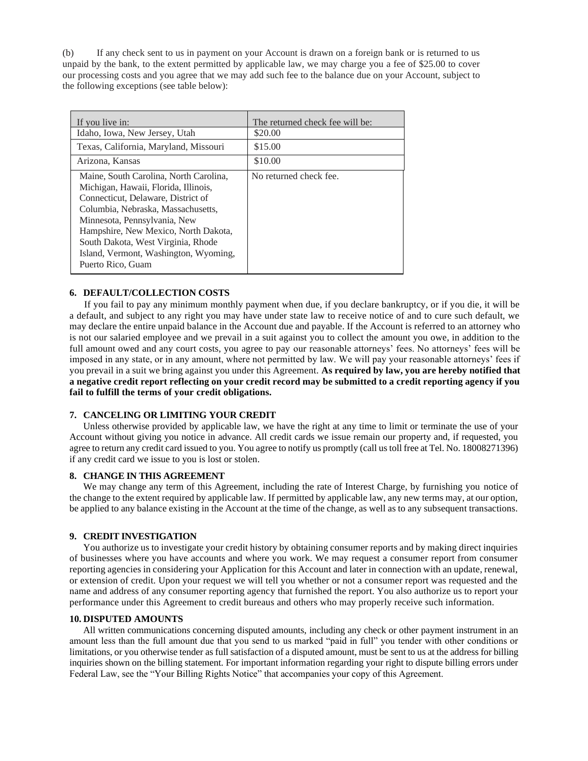(b) If any check sent to us in payment on your Account is drawn on a foreign bank or is returned to us unpaid by the bank, to the extent permitted by applicable law, we may charge you a fee of \$25.00 to cover our processing costs and you agree that we may add such fee to the balance due on your Account, subject to the following exceptions (see table below):

| If you live in:                                                                                                                                                                                                                                                                                                                        | The returned check fee will be: |
|----------------------------------------------------------------------------------------------------------------------------------------------------------------------------------------------------------------------------------------------------------------------------------------------------------------------------------------|---------------------------------|
| Idaho, Iowa, New Jersey, Utah                                                                                                                                                                                                                                                                                                          | \$20.00                         |
| Texas, California, Maryland, Missouri                                                                                                                                                                                                                                                                                                  | \$15.00                         |
| Arizona, Kansas                                                                                                                                                                                                                                                                                                                        | \$10.00                         |
| Maine, South Carolina, North Carolina,<br>Michigan, Hawaii, Florida, Illinois,<br>Connecticut, Delaware, District of<br>Columbia, Nebraska, Massachusetts,<br>Minnesota, Pennsylvania, New<br>Hampshire, New Mexico, North Dakota,<br>South Dakota, West Virginia, Rhode<br>Island, Vermont, Washington, Wyoming,<br>Puerto Rico, Guam | No returned check fee.          |

## **6. DEFAULT/COLLECTION COSTS**

If you fail to pay any minimum monthly payment when due, if you declare bankruptcy, or if you die, it will be a default, and subject to any right you may have under state law to receive notice of and to cure such default, we may declare the entire unpaid balance in the Account due and payable. If the Account is referred to an attorney who is not our salaried employee and we prevail in a suit against you to collect the amount you owe, in addition to the full amount owed and any court costs, you agree to pay our reasonable attorneys' fees. No attorneys' fees will be imposed in any state, or in any amount, where not permitted by law. We will pay your reasonable attorneys' fees if you prevail in a suit we bring against you under this Agreement. **As required by law, you are hereby notified that a negative credit report reflecting on your credit record may be submitted to a credit reporting agency if you fail to fulfill the terms of your credit obligations.**

## **7. CANCELING OR LIMITING YOUR CREDIT**

Unless otherwise provided by applicable law, we have the right at any time to limit or terminate the use of your Account without giving you notice in advance. All credit cards we issue remain our property and, if requested, you agree to return any credit card issued to you. You agree to notify us promptly (call us toll free at Tel. No. 18008271396) if any credit card we issue to you is lost or stolen.

#### **8. CHANGE IN THIS AGREEMENT**

We may change any term of this Agreement, including the rate of Interest Charge, by furnishing you notice of the change to the extent required by applicable law. If permitted by applicable law, any new terms may, at our option, be applied to any balance existing in the Account at the time of the change, as well as to any subsequent transactions.

#### **9. CREDIT INVESTIGATION**

You authorize us to investigate your credit history by obtaining consumer reports and by making direct inquiries of businesses where you have accounts and where you work. We may request a consumer report from consumer reporting agencies in considering your Application for this Account and later in connection with an update, renewal, or extension of credit. Upon your request we will tell you whether or not a consumer report was requested and the name and address of any consumer reporting agency that furnished the report. You also authorize us to report your performance under this Agreement to credit bureaus and others who may properly receive such information.

#### **10. DISPUTED AMOUNTS**

All written communications concerning disputed amounts, including any check or other payment instrument in an amount less than the full amount due that you send to us marked "paid in full" you tender with other conditions or limitations, or you otherwise tender as full satisfaction of a disputed amount, must be sent to us at the address for billing inquiries shown on the billing statement. For important information regarding your right to dispute billing errors under Federal Law, see the "Your Billing Rights Notice" that accompanies your copy of this Agreement.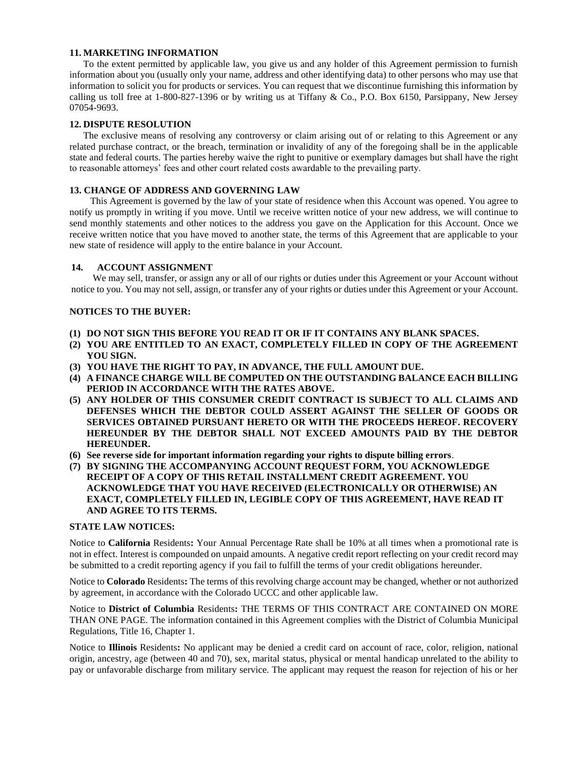## **11. MARKETING INFORMATION**

To the extent permitted by applicable law, you give us and any holder of this Agreement permission to furnish information about you (usually only your name, address and other identifying data) to other persons who may use that information to solicit you for products or services. You can request that we discontinue furnishing this information by calling us toll free at 1-800-827-1396 or by writing us at Tiffany & Co., P.O. Box 6150, Parsippany, New Jersey 07054-9693.

#### **12. DISPUTE RESOLUTION**

The exclusive means of resolving any controversy or claim arising out of or relating to this Agreement or any related purchase contract, or the breach, termination or invalidity of any of the foregoing shall be in the applicable state and federal courts. The parties hereby waive the right to punitive or exemplary damages but shall have the right to reasonable attorneys' fees and other court related costs awardable to the prevailing party.

## **13. CHANGE OF ADDRESS AND GOVERNING LAW**

This Agreement is governed by the law of your state of residence when this Account was opened. You agree to notify us promptly in writing if you move. Until we receive written notice of your new address, we will continue to send monthly statements and other notices to the address you gave on the Application for this Account. Once we receive written notice that you have moved to another state, the terms of this Agreement that are applicable to your new state of residence will apply to the entire balance in your Account.

## **14. ACCOUNT ASSIGNMENT**

We may sell, transfer, or assign any or all of our rights or duties under this Agreement or your Account without notice to you. You may not sell, assign, or transfer any of your rights or duties under this Agreement or your Account.

## **NOTICES TO THE BUYER:**

- **(1) DO NOT SIGN THIS BEFORE YOU READ IT OR IF IT CONTAINS ANY BLANK SPACES.**
- **(2) YOU ARE ENTITLED TO AN EXACT, COMPLETELY FILLED IN COPY OF THE AGREEMENT YOU SIGN.**
- **(3) YOU HAVE THE RIGHT TO PAY, IN ADVANCE, THE FULL AMOUNT DUE.**
- **(4) A FINANCE CHARGE WILL BE COMPUTED ON THE OUTSTANDING BALANCE EACH BILLING PERIOD IN ACCORDANCE WITH THE RATES ABOVE.**
- **(5) ANY HOLDER OF THIS CONSUMER CREDIT CONTRACT IS SUBJECT TO ALL CLAIMS AND DEFENSES WHICH THE DEBTOR COULD ASSERT AGAINST THE SELLER OF GOODS OR SERVICES OBTAINED PURSUANT HERETO OR WITH THE PROCEEDS HEREOF. RECOVERY HEREUNDER BY THE DEBTOR SHALL NOT EXCEED AMOUNTS PAID BY THE DEBTOR HEREUNDER.**
- **(6) See reverse side for important information regarding your rights to dispute billing errors**.
- **(7) BY SIGNING THE ACCOMPANYING ACCOUNT REQUEST FORM, YOU ACKNOWLEDGE RECEIPT OF A COPY OF THIS RETAIL INSTALLMENT CREDIT AGREEMENT. YOU ACKNOWLEDGE THAT YOU HAVE RECEIVED (ELECTRONICALLY OR OTHERWISE) AN EXACT, COMPLETELY FILLED IN, LEGIBLE COPY OF THIS AGREEMENT, HAVE READ IT AND AGREE TO ITS TERMS.**

#### **STATE LAW NOTICES:**

Notice to **California** Residents**:** Your Annual Percentage Rate shall be 10% at all times when a promotional rate is not in effect. Interest is compounded on unpaid amounts. A negative credit report reflecting on your credit record may be submitted to a credit reporting agency if you fail to fulfill the terms of your credit obligations hereunder.

Notice to **Colorado** Residents**:** The terms of this revolving charge account may be changed, whether or not authorized by agreement, in accordance with the Colorado UCCC and other applicable law.

Notice to **District of Columbia** Residents**:** THE TERMS OF THIS CONTRACT ARE CONTAINED ON MORE THAN ONE PAGE. The information contained in this Agreement complies with the District of Columbia Municipal Regulations, Title 16, Chapter 1.

Notice to **Illinois** Residents**:** No applicant may be denied a credit card on account of race, color, religion, national origin, ancestry, age (between 40 and 70), sex, marital status, physical or mental handicap unrelated to the ability to pay or unfavorable discharge from military service. The applicant may request the reason for rejection of his or her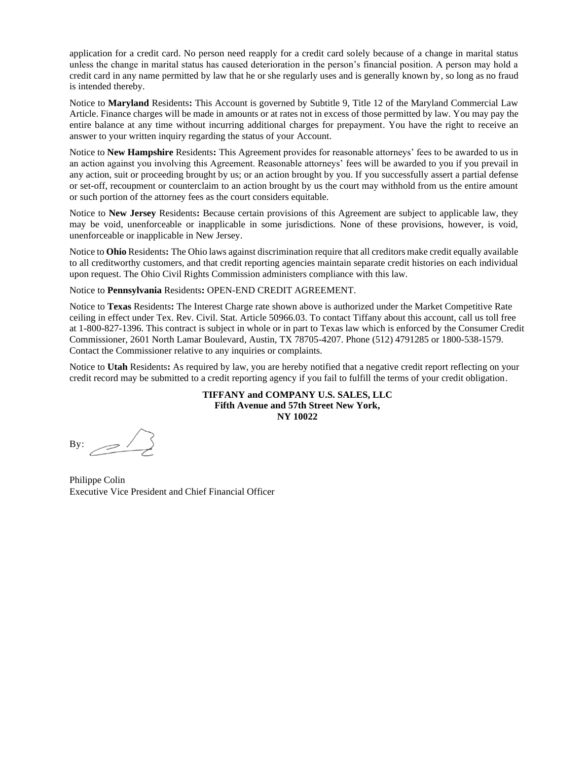application for a credit card. No person need reapply for a credit card solely because of a change in marital status unless the change in marital status has caused deterioration in the person's financial position. A person may hold a credit card in any name permitted by law that he or she regularly uses and is generally known by, so long as no fraud is intended thereby.

Notice to **Maryland** Residents**:** This Account is governed by Subtitle 9, Title 12 of the Maryland Commercial Law Article. Finance charges will be made in amounts or at rates not in excess of those permitted by law. You may pay the entire balance at any time without incurring additional charges for prepayment. You have the right to receive an answer to your written inquiry regarding the status of your Account.

Notice to **New Hampshire** Residents**:** This Agreement provides for reasonable attorneys' fees to be awarded to us in an action against you involving this Agreement. Reasonable attorneys' fees will be awarded to you if you prevail in any action, suit or proceeding brought by us; or an action brought by you. If you successfully assert a partial defense or set-off, recoupment or counterclaim to an action brought by us the court may withhold from us the entire amount or such portion of the attorney fees as the court considers equitable.

Notice to **New Jersey** Residents**:** Because certain provisions of this Agreement are subject to applicable law, they may be void, unenforceable or inapplicable in some jurisdictions. None of these provisions, however, is void, unenforceable or inapplicable in New Jersey.

Notice to **Ohio** Residents**:** The Ohio laws against discrimination require that all creditors make credit equally available to all creditworthy customers, and that credit reporting agencies maintain separate credit histories on each individual upon request. The Ohio Civil Rights Commission administers compliance with this law.

Notice to **Pennsylvania** Residents**:** OPEN-END CREDIT AGREEMENT.

Notice to **Texas** Residents**:** The Interest Charge rate shown above is authorized under the Market Competitive Rate ceiling in effect under Tex. Rev. Civil. Stat. Article 50966.03. To contact Tiffany about this account, call us toll free at 1-800-827-1396. This contract is subject in whole or in part to Texas law which is enforced by the Consumer Credit Commissioner, 2601 North Lamar Boulevard, Austin, TX 78705-4207. Phone (512) 4791285 or 1800-538-1579. Contact the Commissioner relative to any inquiries or complaints.

Notice to **Utah** Residents**:** As required by law, you are hereby notified that a negative credit report reflecting on your credit record may be submitted to a credit reporting agency if you fail to fulfill the terms of your credit obligation.

> **TIFFANY and COMPANY U.S. SALES, LLC Fifth Avenue and 57th Street New York, NY 10022**

By:

Philippe Colin Executive Vice President and Chief Financial Officer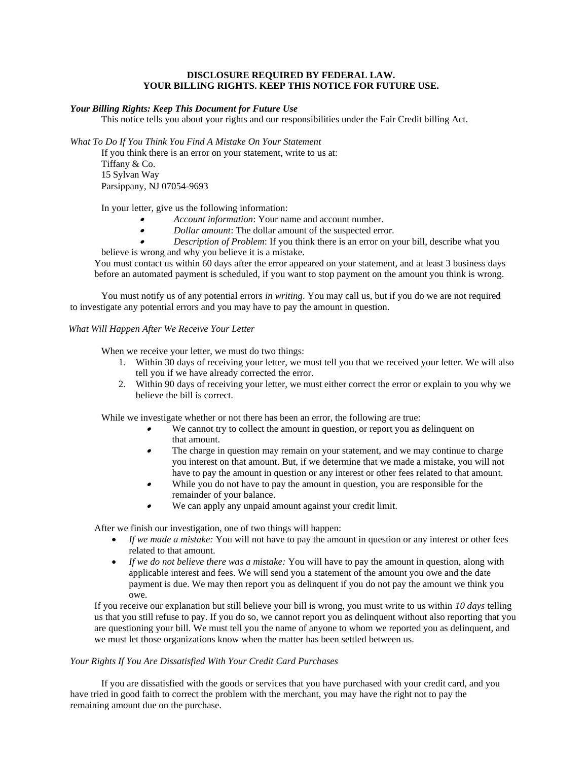#### **DISCLOSURE REQUIRED BY FEDERAL LAW. YOUR BILLING RIGHTS. KEEP THIS NOTICE FOR FUTURE USE.**

#### *Your Billing Rights: Keep This Document for Future Use*

This notice tells you about your rights and our responsibilities under the Fair Credit billing Act.

*What To Do If You Think You Find A Mistake On Your Statement*

If you think there is an error on your statement, write to us at: Tiffany & Co. 15 Sylvan Way Parsippany, NJ 07054-9693

In your letter, give us the following information:

- •*Account information*: Your name and account number.
- •*Dollar amount*: The dollar amount of the suspected error.
- • *Description of Problem*: If you think there is an error on your bill, describe what you believe is wrong and why you believe it is a mistake.

You must contact us within 60 days after the error appeared on your statement, and at least 3 business days before an automated payment is scheduled, if you want to stop payment on the amount you think is wrong.

You must notify us of any potential errors *in writing*. You may call us, but if you do we are not required to investigate any potential errors and you may have to pay the amount in question.

#### *What Will Happen After We Receive Your Letter*

When we receive your letter, we must do two things:

- 1. Within 30 days of receiving your letter, we must tell you that we received your letter. We will also tell you if we have already corrected the error.
- 2. Within 90 days of receiving your letter, we must either correct the error or explain to you why we believe the bill is correct.

While we investigate whether or not there has been an error, the following are true:

- • We cannot try to collect the amount in question, or report you as delinquent on that amount.
- • The charge in question may remain on your statement, and we may continue to charge you interest on that amount. But, if we determine that we made a mistake, you will not have to pay the amount in question or any interest or other fees related to that amount.
- • While you do not have to pay the amount in question, you are responsible for the remainder of your balance.
- •We can apply any unpaid amount against your credit limit.

After we finish our investigation, one of two things will happen:

- *If we made a mistake:* You will not have to pay the amount in question or any interest or other fees related to that amount.
- *If we do not believe there was a mistake:* You will have to pay the amount in question, along with applicable interest and fees. We will send you a statement of the amount you owe and the date payment is due. We may then report you as delinquent if you do not pay the amount we think you owe.

If you receive our explanation but still believe your bill is wrong, you must write to us within *10 days* telling us that you still refuse to pay. If you do so, we cannot report you as delinquent without also reporting that you are questioning your bill. We must tell you the name of anyone to whom we reported you as delinquent, and we must let those organizations know when the matter has been settled between us.

#### *Your Rights If You Are Dissatisfied With Your Credit Card Purchases*

If you are dissatisfied with the goods or services that you have purchased with your credit card, and you have tried in good faith to correct the problem with the merchant, you may have the right not to pay the remaining amount due on the purchase.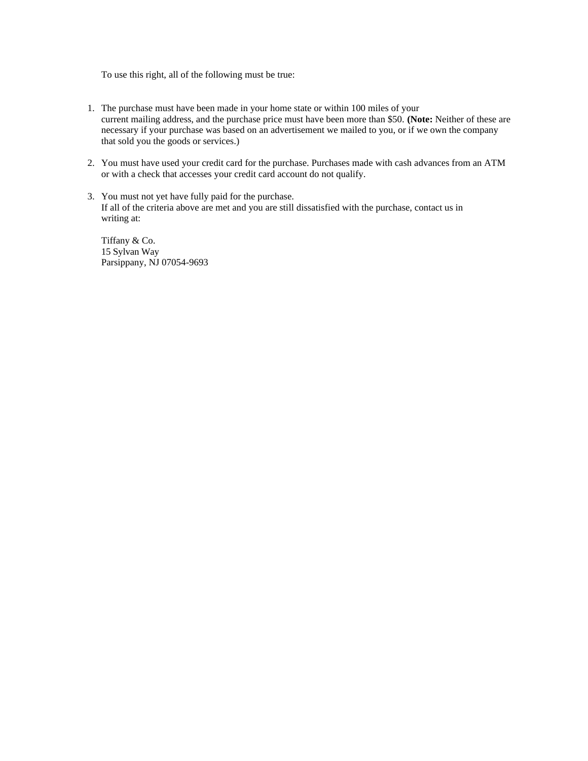To use this right, all of the following must be true:

- 1. The purchase must have been made in your home state or within 100 miles of your current mailing address, and the purchase price must have been more than \$50. **(Note:** Neither of these are necessary if your purchase was based on an advertisement we mailed to you, or if we own the company that sold you the goods or services.)
- 2. You must have used your credit card for the purchase. Purchases made with cash advances from an ATM or with a check that accesses your credit card account do not qualify.
- 3. You must not yet have fully paid for the purchase. If all of the criteria above are met and you are still dissatisfied with the purchase, contact us in writing at:

Tiffany & Co. 15 Sylvan Way Parsippany, NJ 07054-9693